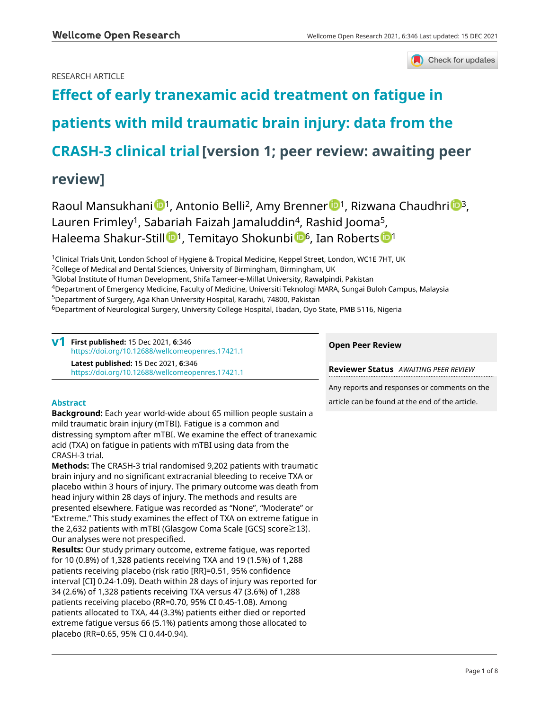Check for updates

# RESEARCH ARTICLE

# **[Effect of early tranexamic acid treatment on fatigue in](https://wellcomeopenresearch.org/articles/6-346/v1) [patients with mild traumatic brain injury: data from the](https://wellcomeopenresearch.org/articles/6-346/v1) [CRASH-3 clinical trial](https://wellcomeopenresearch.org/articles/6-346/v1)[version 1; peer review: awaiting peer**

# **review]**

Raoul Mansukhani <sup>1</sup>, Antonio Belli<sup>2</sup>, Amy Brenner <sup>1</sup>, Rizwana Chaudhri <sup>1</sup>, Lauren Frimley<sup>1</sup>, Sabariah Faizah Jamaluddin<sup>4</sup>, Rashid Jooma<sup>5</sup>, Ha[l](https://orcid.org/0000-0002-6511-109X)eema Shakur-Still <sup>1</sup>, Temitayo Shokunbi <sup>1[6](https://orcid.org/0000-0002-7819-6862)6</[s](https://orcid.org/0000-0003-1596-6054)up>, Ian Roberts <sup>161</sup>

<sup>1</sup>Clinical Trials Unit, London School of Hygiene & Tropical Medicine, Keppel Street, London, WC1E 7HT, UK

<sup>2</sup>College of Medical and Dental Sciences, University of Birmingham, Birmingham, UK

<sup>3</sup>Global Institute of Human Development, Shifa Tameer-e-Millat University, Rawalpindi, Pakistan

<sup>4</sup>Department of Emergency Medicine, Faculty of Medicine, Universiti Teknologi MARA, Sungai Buloh Campus, Malaysia <sup>5</sup>Department of Surgery, Aga Khan University Hospital, Karachi, 74800, Pakistan

<sup>6</sup>Department of Neurological Surgery, University College Hospital, Ibadan, Oyo State, PMB 5116, Nigeria

**First published:** 15 Dec 2021, **6**:346 **v1** <https://doi.org/10.12688/wellcomeopenres.17421.1> **Latest published:** 15 Dec 2021, **6**:346 <https://doi.org/10.12688/wellcomeopenres.17421.1>

# **Abstract**

**Background:** Each year world-wide about 65 million people sustain a mild traumatic brain injury (mTBI). Fatigue is a common and distressing symptom after mTBI. We examine the effect of tranexamic acid (TXA) on fatigue in patients with mTBI using data from the CRASH-3 trial.

**Methods:** The CRASH-3 trial randomised 9,202 patients with traumatic brain injury and no significant extracranial bleeding to receive TXA or placebo within 3 hours of injury. The primary outcome was death from head injury within 28 days of injury. The methods and results are presented elsewhere. Fatigue was recorded as "None", "Moderate" or "Extreme." This study examines the effect of TXA on extreme fatigue in the 2,632 patients with mTBI (Glasgow Coma Scale [GCS] score≥13). Our analyses were not prespecified.

**Results:** Our study primary outcome, extreme fatigue, was reported for 10 (0.8%) of 1,328 patients receiving TXA and 19 (1.5%) of 1,288 patients receiving placebo (risk ratio [RR]=0.51, 95% confidence interval [CI] 0.24-1.09). Death within 28 days of injury was reported for 34 (2.6%) of 1,328 patients receiving TXA versus 47 (3.6%) of 1,288 patients receiving placebo (RR=0.70, 95% CI 0.45-1.08). Among patients allocated to TXA, 44 (3.3%) patients either died or reported extreme fatigue versus 66 (5.1%) patients among those allocated to placebo (RR=0.65, 95% CI 0.44-0.94).

# **Open Peer Review**

**Reviewer Status** *AWAITING PEER REVIEW*

Any reports and responses or comments on the article can be found at the end of the article.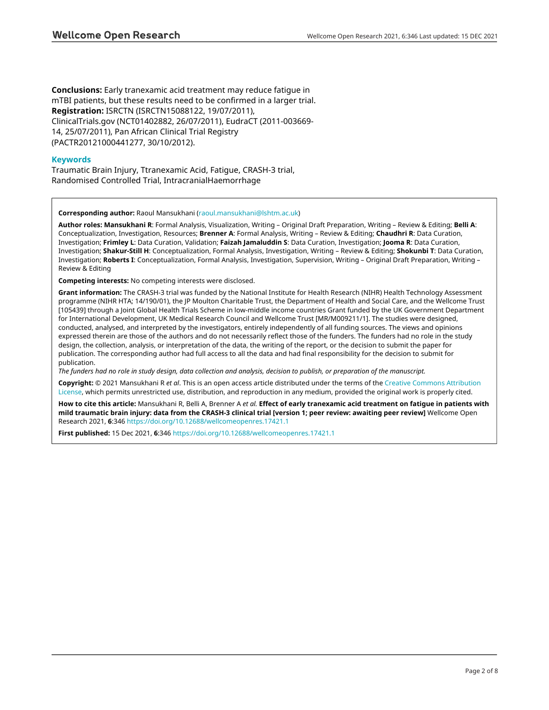**Conclusions:** Early tranexamic acid treatment may reduce fatigue in mTBI patients, but these results need to be confirmed in a larger trial. **Registration:** ISRCTN (ISRCTN15088122, 19/07/2011), ClinicalTrials.gov (NCT01402882, 26/07/2011), EudraCT (2011-003669- 14, 25/07/2011), Pan African Clinical Trial Registry (PACTR20121000441277, 30/10/2012).

# **Keywords**

Traumatic Brain Injury, Ttranexamic Acid, Fatigue, CRASH-3 trial, Randomised Controlled Trial, IntracranialHaemorrhage

**Corresponding author:** Raoul Mansukhani ([raoul.mansukhani@lshtm.ac.uk\)](mailto:raoul.mansukhani@lshtm.ac.uk)

**Author roles: Mansukhani R**: Formal Analysis, Visualization, Writing – Original Draft Preparation, Writing – Review & Editing; **Belli A**: Conceptualization, Investigation, Resources; **Brenner A**: Formal Analysis, Writing – Review & Editing; **Chaudhri R**: Data Curation, Investigation; **Frimley L**: Data Curation, Validation; **Faizah Jamaluddin S**: Data Curation, Investigation; **Jooma R**: Data Curation, Investigation; **Shakur-Still H**: Conceptualization, Formal Analysis, Investigation, Writing – Review & Editing; **Shokunbi T**: Data Curation, Investigation; **Roberts I**: Conceptualization, Formal Analysis, Investigation, Supervision, Writing – Original Draft Preparation, Writing – Review & Editing

**Competing interests:** No competing interests were disclosed.

**Grant information:** The CRASH-3 trial was funded by the National Institute for Health Research (NIHR) Health Technology Assessment programme (NIHR HTA; 14/190/01), the JP Moulton Charitable Trust, the Department of Health and Social Care, and the Wellcome Trust [105439] through a Joint Global Health Trials Scheme in low-middle income countries Grant funded by the UK Government Department for International Development, UK Medical Research Council and Wellcome Trust [MR/M009211/1]. The studies were designed, conducted, analysed, and interpreted by the investigators, entirely independently of all funding sources. The views and opinions expressed therein are those of the authors and do not necessarily reflect those of the funders. The funders had no role in the study design, the collection, analysis, or interpretation of the data, the writing of the report, or the decision to submit the paper for publication. The corresponding author had full access to all the data and had final responsibility for the decision to submit for publication.

*The funders had no role in study design, data collection and analysis, decision to publish, or preparation of the manuscript.*

**Copyright:** © 2021 Mansukhani R *et al*. This is an open access article distributed under the terms of the [Creative Commons Attribution](http://creativecommons.org/licenses/by/4.0/) [License](http://creativecommons.org/licenses/by/4.0/), which permits unrestricted use, distribution, and reproduction in any medium, provided the original work is properly cited.

**How to cite this article:** Mansukhani R, Belli A, Brenner A *et al.* **Effect of early tranexamic acid treatment on fatigue in patients with mild traumatic brain injury: data from the CRASH-3 clinical trial [version 1; peer review: awaiting peer review]** Wellcome Open Research 2021, **6**:346 <https://doi.org/10.12688/wellcomeopenres.17421.1>

**First published:** 15 Dec 2021, **6**:346 <https://doi.org/10.12688/wellcomeopenres.17421.1>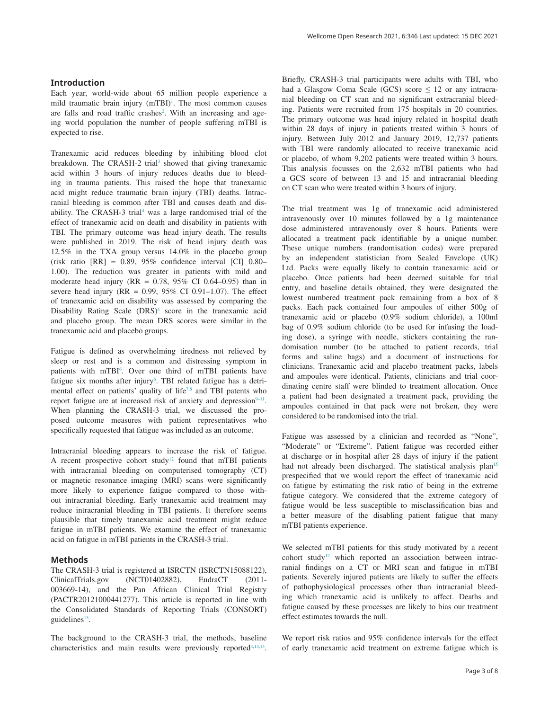# **Introduction**

Each year, world-wide about 65 million people experience a mild traumatic brain injury (mTBI)<sup>[1](#page-6-0)</sup>. The most common causes are falls and road traffic crashes<sup>[2](#page-6-0)</sup>. With an increasing and ageing world population the number of people suffering mTBI is expected to rise.

Tranexamic acid reduces bleeding by inhibiting blood clot breakdown. The CRASH-2 trial<sup>3</sup> showed that giving tranexamic acid within 3 hours of injury reduces deaths due to bleeding in trauma patients. This raised the hope that tranexamic acid might reduce traumatic brain injury (TBI) deaths. Intracranial bleeding is common after TBI and causes death and disability. The CRASH-3 trial<sup>4</sup> was a large randomised trial of the effect of tranexamic acid on death and disability in patients with TBI. The primary outcome was head injury death. The results were published in 2019. The risk of head injury death was 12.5% in the TXA group versus 14.0% in the placebo group (risk ratio [RR] = 0.89, 95% confidence interval [CI] 0.80– 1.00). The reduction was greater in patients with mild and moderate head injury ( $RR = 0.78$ ,  $95\%$  CI 0.64–0.95) than in severe head injury ( $RR = 0.99$ ,  $95\%$  CI 0.91-1.07). The effect of tranexamic acid on disability was assessed by comparing the Disability Rating Scale  $(DRS)^5$  $(DRS)^5$  score in the tranexamic acid and placebo group. The mean DRS scores were similar in the tranexamic acid and placebo groups.

Fatigue is defined as overwhelming tiredness not relieved by sleep or rest and is a common and distressing symptom in patients with mTBI<sup>6</sup>. Over one third of mTBI patients have fatigue six months after injury<sup>6</sup>. TBI related fatigue has a detri-mental effect on patients' quality of life<sup>[7,8](#page-6-0)</sup> and TBI patents who report fatigue are at increased risk of anxiety and depression $9-11$ . When planning the CRASH-3 trial, we discussed the proposed outcome measures with patient representatives who specifically requested that fatigue was included as an outcome.

Intracranial bleeding appears to increase the risk of fatigue. A recent prospective cohort study<sup>12</sup> found that mTBI patients with intracranial bleeding on computerised tomography (CT) or magnetic resonance imaging (MRI) scans were significantly more likely to experience fatigue compared to those without intracranial bleeding. Early tranexamic acid treatment may reduce intracranial bleeding in TBI patients. It therefore seems plausible that timely tranexamic acid treatment might reduce fatigue in mTBI patients. We examine the effect of tranexamic acid on fatigue in mTBI patients in the CRASH-3 trial.

# **Methods**

The CRASH-3 trial is registered at ISRCTN (ISRCTN15088122), ClinicalTrials.gov (NCT01402882), EudraCT (2011- 003669-14), and the Pan African Clinical Trial Registry (PACTR20121000441277). This article is reported in line with the Consolidated Standards of Reporting Trials (CONSORT) guidelines $13$ .

The background to the CRASH-3 trial, the methods, baseline characteristics and main results were previously reported $4,14,15$ . Briefly, CRASH-3 trial participants were adults with TBI, who had a Glasgow Coma Scale (GCS) score  $\leq$  12 or any intracranial bleeding on CT scan and no significant extracranial bleeding. Patients were recruited from 175 hospitals in 20 countries. The primary outcome was head injury related in hospital death within 28 days of injury in patients treated within 3 hours of injury. Between July 2012 and January 2019, 12,737 patients with TBI were randomly allocated to receive tranexamic acid or placebo, of whom 9,202 patients were treated within 3 hours. This analysis focusses on the 2,632 mTBI patients who had a GCS score of between 13 and 15 and intracranial bleeding on CT scan who were treated within 3 hours of injury.

The trial treatment was 1g of tranexamic acid administered intravenously over 10 minutes followed by a 1g maintenance dose administered intravenously over 8 hours. Patients were allocated a treatment pack identifiable by a unique number. These unique numbers (randomisation codes) were prepared by an independent statistician from Sealed Envelope (UK) Ltd. Packs were equally likely to contain tranexamic acid or placebo. Once patients had been deemed suitable for trial entry, and baseline details obtained, they were designated the lowest numbered treatment pack remaining from a box of 8 packs. Each pack contained four ampoules of either 500g of tranexamic acid or placebo (0.9% sodium chloride), a 100ml bag of 0.9% sodium chloride (to be used for infusing the loading dose), a syringe with needle, stickers containing the randomisation number (to be attached to patient records, trial forms and saline bags) and a document of instructions for clinicians. Tranexamic acid and placebo treatment packs, labels and ampoules were identical. Patients, clinicians and trial coordinating centre staff were blinded to treatment allocation. Once a patient had been designated a treatment pack, providing the ampoules contained in that pack were not broken, they were considered to be randomised into the trial.

Fatigue was assessed by a clinician and recorded as "None", "Moderate" or "Extreme". Patient fatigue was recorded either at discharge or in hospital after 28 days of injury if the patient had not already been discharged. The statistical analysis plan<sup>15</sup> prespecified that we would report the effect of tranexamic acid on fatigue by estimating the risk ratio of being in the extreme fatigue category. We considered that the extreme category of fatigue would be less susceptible to misclassification bias and a better measure of the disabling patient fatigue that many mTBI patients experience.

We selected mTBI patients for this study motivated by a recent cohort study<sup>12</sup> which reported an association between intracranial findings on a CT or MRI scan and fatigue in mTBI patients. Severely injured patients are likely to suffer the effects of pathophysiological processes other than intracranial bleeding which tranexamic acid is unlikely to affect. Deaths and fatigue caused by these processes are likely to bias our treatment effect estimates towards the null.

We report risk ratios and 95% confidence intervals for the effect of early tranexamic acid treatment on extreme fatigue which is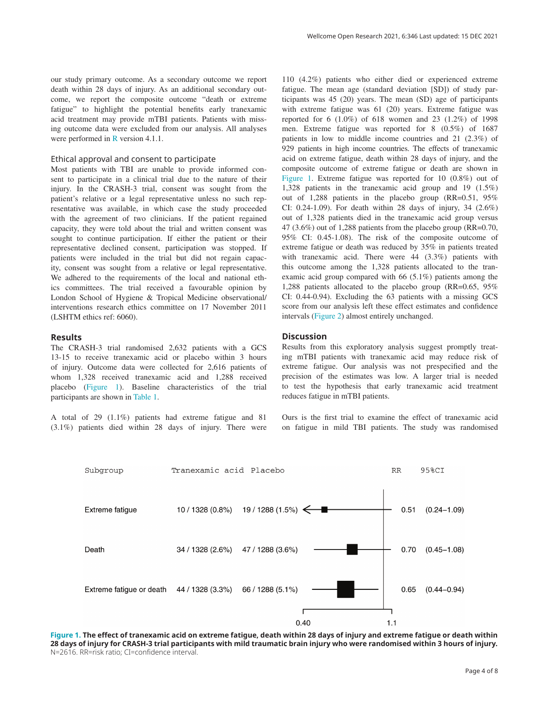our study primary outcome. As a secondary outcome we report death within 28 days of injury. As an additional secondary outcome, we report the composite outcome "death or extreme fatigue" to highlight the potential benefits early tranexamic acid treatment may provide mTBI patients. Patients with missing outcome data were excluded from our analysis. All analyses were performed in [R](https://www.r-project.org/) version 4.1.1.

# Ethical approval and consent to participate

Most patients with TBI are unable to provide informed consent to participate in a clinical trial due to the nature of their injury. In the CRASH-3 trial, consent was sought from the patient's relative or a legal representative unless no such representative was available, in which case the study proceeded with the agreement of two clinicians. If the patient regained capacity, they were told about the trial and written consent was sought to continue participation. If either the patient or their representative declined consent, participation was stopped. If patients were included in the trial but did not regain capacity, consent was sought from a relative or legal representative. We adhered to the requirements of the local and national ethics committees. The trial received a favourable opinion by London School of Hygiene & Tropical Medicine observational/ interventions research ethics committee on 17 November 2011 (LSHTM ethics ref: 6060).

#### **Results**

The CRASH-3 trial randomised 2,632 patients with a GCS 13-15 to receive tranexamic acid or placebo within 3 hours of injury. Outcome data were collected for 2,616 patients of whom 1,328 received tranexamic acid and 1,288 received placebo (Figure 1). Baseline characteristics of the trial participants are shown in [Table 1](#page-4-0).

A total of 29 (1.1%) patients had extreme fatigue and 81 (3.1%) patients died within 28 days of injury. There were

110 (4.2%) patients who either died or experienced extreme fatigue. The mean age (standard deviation [SD]) of study participants was 45 (20) years. The mean (SD) age of participants with extreme fatigue was 61 (20) years. Extreme fatigue was reported for 6 (1.0%) of 618 women and 23 (1.2%) of 1998 men. Extreme fatigue was reported for 8 (0.5%) of 1687 patients in low to middle income countries and 21 (2.3%) of 929 patients in high income countries. The effects of tranexamic acid on extreme fatigue, death within 28 days of injury, and the composite outcome of extreme fatigue or death are shown in Figure 1. Extreme fatigue was reported for 10 (0.8%) out of 1,328 patients in the tranexamic acid group and 19 (1.5%) out of 1,288 patients in the placebo group (RR=0.51, 95% CI: 0.24-1.09). For death within 28 days of injury, 34 (2.6%) out of 1,328 patients died in the tranexamic acid group versus 47 (3.6%) out of 1,288 patients from the placebo group (RR=0.70, 95% CI: 0.45-1.08). The risk of the composite outcome of extreme fatigue or death was reduced by 35% in patients treated with tranexamic acid. There were 44 (3.3%) patients with this outcome among the 1,328 patients allocated to the tranexamic acid group compared with 66 (5.1%) patients among the 1,288 patients allocated to the placebo group (RR=0.65, 95% CI: 0.44-0.94). Excluding the 63 patients with a missing GCS score from our analysis left these effect estimates and confidence intervals ([Figure 2\)](#page-5-0) almost entirely unchanged.

#### **Discussion**

Results from this exploratory analysis suggest promptly treating mTBI patients with tranexamic acid may reduce risk of extreme fatigue. Our analysis was not prespecified and the precision of the estimates was low. A larger trial is needed to test the hypothesis that early tranexamic acid treatment reduces fatigue in mTBI patients.

Ours is the first trial to examine the effect of tranexamic acid on fatigue in mild TBI patients. The study was randomised



**Figure 1. The effect of tranexamic acid on extreme fatigue, death within 28 days of injury and extreme fatigue or death within 28 days of injury for CRASH-3 trial participants with mild traumatic brain injury who were randomised within 3 hours of injury.**  N=2616. RR=risk ratio; CI=confidence interval.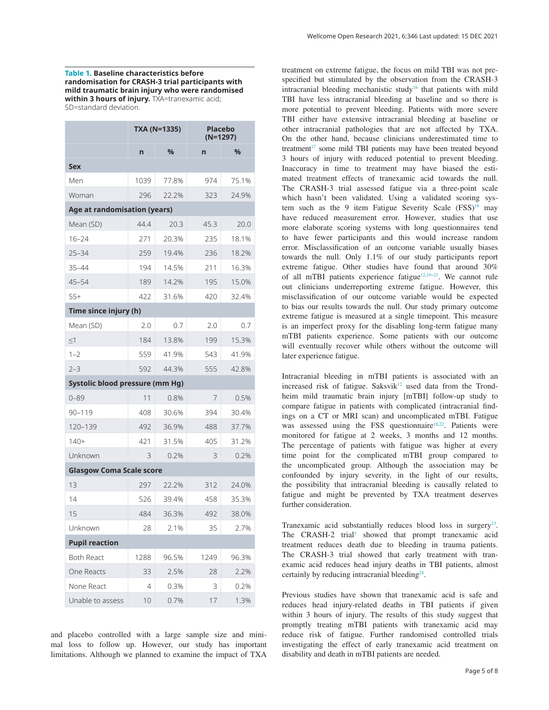<span id="page-4-0"></span>**Table 1. Baseline characteristics before randomisation for CRASH-3 trial participants with mild traumatic brain injury who were randomised**  within 3 hours of injury. **TXA=tranexamic acid**; SD=standard deviation.

**TXA (N=1335) Placebo (N=1297) n % n % Sex** Men 1039 77.8% 974 75.1% Woman 296 22.2% 323 24.9% **Age at randomisation (years)** Mean (SD) 44.4 20.3 45.3 20.0 16–24 271 20.3% 235 18.1% 25–34 259 19.4% 236 18.2% 35–44 194 14.5% 211 16.3% 45–54 189 14.2% 195 15.0% 55+ 422 31.6% 420 32.4% **Time since injury (h)** Mean (SD) 2.0 0.7 2.0 0.7 ≤1 184 13.8% 199 15.3% 1–2 559 41.9% 543 41.9% 2–3 592 44.3% 555 42.8% **Systolic blood pressure (mm Hg)** 0–89 11 0.8% 7 0.5% 90–119 408 30.6% 394 30.4% 120–139 492 36.9% 488 37.7% 140+ 421 31.5% 405 31.2% Unknown 3 0.2% 3 0.2% **Glasgow Coma Scale score** 13 297 22.2% 312 24.0% 14 526 39.4% 458 35.3% 15 484 36.3% 492 38.0% Unknown 28 2.1% 35 2.7% **Pupil reaction** Both React 1288 96.5% 1249 96.3% One Reacts 33 2.5% 28 2.2% None React 4 0.3% 3 0.2% Unable to assess 10 0.7% 17 1.3%

and placebo controlled with a large sample size and minimal loss to follow up. However, our study has important limitations. Although we planned to examine the impact of TXA

treatment on extreme fatigue, the focus on mild TBI was not prespecified but stimulated by the observation from the CRASH-3 intracranial bleeding mechanistic study<sup>[16](#page-6-0)</sup> that patients with mild TBI have less intracranial bleeding at baseline and so there is more potential to prevent bleeding. Patients with more severe TBI either have extensive intracranial bleeding at baseline or other intracranial pathologies that are not affected by TXA. On the other hand, because clinicians underestimated time to treatment<sup>17</sup> some mild TBI patients may have been treated beyond 3 hours of injury with reduced potential to prevent bleeding. Inaccuracy in time to treatment may have biased the estimated treatment effects of tranexamic acid towards the null. The CRASH-3 trial assessed fatigue via a three-point scale which hasn't been validated. Using a validated scoring system such as the 9 item Fatigue Severity Scale (FSS)<sup>18</sup> may have reduced measurement error. However, studies that use more elaborate scoring systems with long questionnaires tend to have fewer participants and this would increase random error. Misclassification of an outcome variable usually biases towards the null. Only 1.1% of our study participants report extreme fatigue. Other studies have found that around 30% of all mTBI patients experience fatigue<sup>12,19-21</sup>. We cannot rule out clinicians underreporting extreme fatigue. However, this misclassification of our outcome variable would be expected to bias our results towards the null. Our study primary outcome extreme fatigue is measured at a single timepoint. This measure is an imperfect proxy for the disabling long-term fatigue many mTBI patients experience. Some patients with our outcome will eventually recover while others without the outcome will later experience fatigue.

Intracranial bleeding in mTBI patients is associated with an increased risk of fatigue. Saksvik $12$  used data from the Trondheim mild traumatic brain injury [mTBI] follow-up study to compare fatigue in patients with complicated (intracranial findings on a CT or MRI scan) and uncomplicated mTBI. Fatigue was assessed using the FSS questionnaire<sup>18,22</sup>. Patients were monitored for fatigue at 2 weeks, 3 months and 12 months. The percentage of patients with fatigue was higher at every time point for the complicated mTBI group compared to the uncomplicated group. Although the association may be confounded by injury severity, in the light of our results, the possibility that intracranial bleeding is causally related to fatigue and might be prevented by TXA treatment deserves further consideration.

Tranexamic acid substantially reduces blood loss in surgery<sup>23</sup>. The CRASH-2 trial<sup>3</sup> showed that prompt tranexamic acid treatment reduces death due to bleeding in trauma patients. The CRASH-3 trial showed that early treatment with tranexamic acid reduces head injury deaths in TBI patients, almost certainly by reducing intracranial bleeding<sup>[24](#page-7-0)</sup>.

Previous studies have shown that tranexamic acid is safe and reduces head injury-related deaths in TBI patients if given within 3 hours of injury. The results of this study suggest that promptly treating mTBI patients with tranexamic acid may reduce risk of fatigue. Further randomised controlled trials investigating the effect of early tranexamic acid treatment on disability and death in mTBI patients are needed.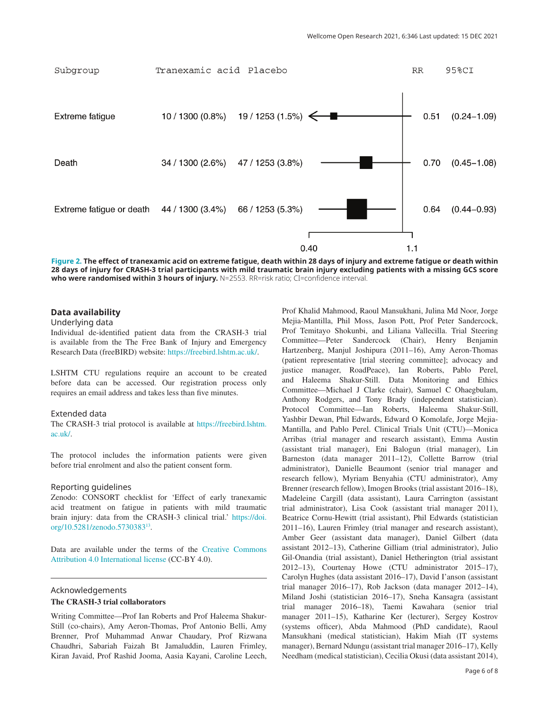<span id="page-5-0"></span>

**Figure 2. The effect of tranexamic acid on extreme fatigue, death within 28 days of injury and extreme fatigue or death within 28 days of injury for CRASH-3 trial participants with mild traumatic brain injury excluding patients with a missing GCS score**  who were randomised within 3 hours of injury. N=2553. RR=risk ratio; CI=confidence interval.

### **Data availability**

## Underlying data

Individual de-identified patient data from the CRASH-3 trial is available from the The Free Bank of Injury and Emergency Research Data (freeBIRD) website: [https://freebird.lshtm.ac.uk/.](https://freebird.lshtm.ac.uk/i)

LSHTM CTU regulations require an account to be created before data can be accessed. Our registration process only requires an email address and takes less than five minutes.

#### Extended data

The CRASH-3 trial protocol is available at [https://freebird.lshtm.](https://protect-us.mimecast.com/s/8lGACo2vOqfDqxz1Riztp9f?domain=freebird.lshtm.ac.uk/) [ac.uk/](https://protect-us.mimecast.com/s/8lGACo2vOqfDqxz1Riztp9f?domain=freebird.lshtm.ac.uk/).

The protocol includes the information patients were given before trial enrolment and also the patient consent form.

#### Reporting guidelines

Zenodo: CONSORT checklist for 'Effect of early tranexamic acid treatment on fatigue in patients with mild traumatic brain injury: data from the CRASH-3 clinical trial.' [https://doi.](https://doi.org/10.5281/zenodo.5730383) [org/10.5281/zenodo.5730383](https://doi.org/10.5281/zenodo.5730383)[13.](#page-6-0)

Data are available under the terms of the [Creative Commons](https://creativecommons.org/licenses/by/4.0/)  [Attribution 4.0 International license](https://creativecommons.org/licenses/by/4.0/) (CC-BY 4.0).

# Acknowledgements

# **The CRASH-3 trial collaborators**

Writing Committee—Prof Ian Roberts and Prof Haleema Shakur-Still (co-chairs), Amy Aeron-Thomas, Prof Antonio Belli, Amy Brenner, Prof Muhammad Anwar Chaudary, Prof Rizwana Chaudhri, Sabariah Faizah Bt Jamaluddin, Lauren Frimley, Kiran Javaid, Prof Rashid Jooma, Aasia Kayani, Caroline Leech,

Prof Khalid Mahmood, Raoul Mansukhani, Julina Md Noor, Jorge Mejia-Mantilla, Phil Moss, Jason Pott, Prof Peter Sandercock, Prof Temitayo Shokunbi, and Liliana Vallecilla. Trial Steering Committee—Peter Sandercock (Chair), Henry Benjamin Hartzenberg, Manjul Joshipura (2011–16), Amy Aeron-Thomas (patient representative [trial steering committee]; advocacy and justice manager, RoadPeace), Ian Roberts, Pablo Perel, and Haleema Shakur-Still. Data Monitoring and Ethics Committee—Michael J Clarke (chair), Samuel C Ohaegbulam, Anthony Rodgers, and Tony Brady (independent statistician). Protocol Committee—Ian Roberts, Haleema Shakur-Still, Yashbir Dewan, Phil Edwards, Edward O Komolafe, Jorge Mejia-Mantilla, and Pablo Perel. Clinical Trials Unit (CTU)—Monica Arribas (trial manager and research assistant), Emma Austin (assistant trial manager), Eni Balogun (trial manager), Lin Barneston (data manager 2011–12), Collette Barrow (trial administrator), Danielle Beaumont (senior trial manager and research fellow), Myriam Benyahia (CTU administrator), Amy Brenner (research fellow), Imogen Brooks (trial assistant 2016–18), Madeleine Cargill (data assistant), Laura Carrington (assistant trial administrator), Lisa Cook (assistant trial manager 2011), Beatrice Cornu-Hewitt (trial assistant), Phil Edwards (statistician 2011–16), Lauren Frimley (trial manager and research assistant), Amber Geer (assistant data manager), Daniel Gilbert (data assistant 2012–13), Catherine Gilliam (trial administrator), Julio Gil-Onandia (trial assistant), Daniel Hetherington (trial assistant 2012–13), Courtenay Howe (CTU administrator 2015–17), Carolyn Hughes (data assistant 2016–17), David I'anson (assistant trial manager 2016–17), Rob Jackson (data manager 2012–14), Miland Joshi (statistician 2016–17), Sneha Kansagra (assistant trial manager 2016–18), Taemi Kawahara (senior trial manager 2011–15), Katharine Ker (lecturer), Sergey Kostrov (systems officer), Abda Mahmood (PhD candidate), Raoul Mansukhani (medical statistician), Hakim Miah (IT systems manager), Bernard Ndungu (assistant trial manager 2016–17), Kelly Needham (medical statistician), Cecilia Okusi (data assistant 2014),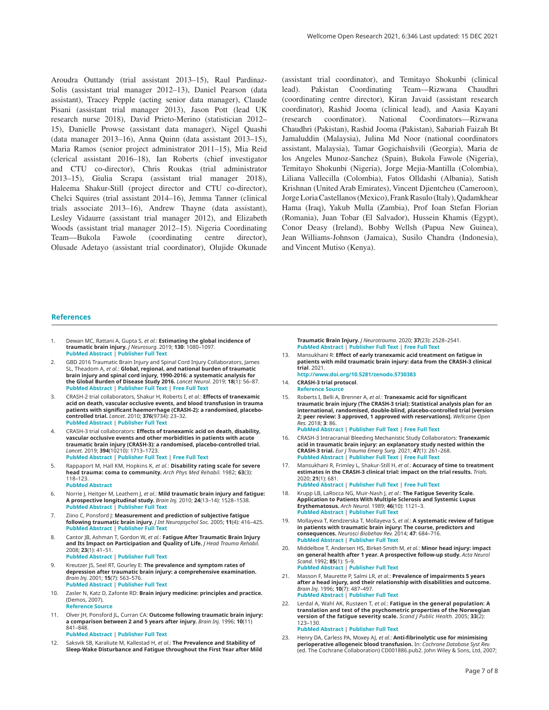<span id="page-6-0"></span>Aroudra Outtandy (trial assistant 2013–15), Raul Pardinaz-Solis (assistant trial manager 2012–13), Daniel Pearson (data assistant), Tracey Pepple (acting senior data manager), Claude Pisani (assistant trial manager 2013), Jason Pott (lead UK research nurse 2018), David Prieto-Merino (statistician 2012– 15), Danielle Prowse (assistant data manager), Nigel Quashi (data manager 2013–16), Anna Quinn (data assistant 2013–15), Maria Ramos (senior project administrator 2011–15), Mia Reid (clerical assistant 2016–18), Ian Roberts (chief investigator and CTU co-director), Chris Roukas (trial administrator 2013–15), Giulia Scrapa (assistant trial manager 2018), Haleema Shakur-Still (project director and CTU co-director), Chelci Squires (trial assistant 2014–16), Jemma Tanner (clinical trials associate 2013–16), Andrew Thayne (data assistant), Lesley Vidaurre (assistant trial manager 2012), and Elizabeth Woods (assistant trial manager 2012–15). Nigeria Coordinating Team—Bukola Fawole (coordinating centre director), Olusade Adetayo (assistant trial coordinator), Olujide Okunade

(assistant trial coordinator), and Temitayo Shokunbi (clinical lead). Pakistan Coordinating Team—Rizwana Chaudhri (coordinating centre director), Kiran Javaid (assistant research coordinator), Rashid Jooma (clinical lead), and Aasia Kayani (research coordinator). National Coordinators—Rizwana Chaudhri (Pakistan), Rashid Jooma (Pakistan), Sabariah Faizah Bt Jamaluddin (Malaysia), Julina Md Noor (national coordinators assistant, Malaysia), Tamar Gogichaishvili (Georgia), Maria de los Angeles Munoz-Sanchez (Spain), Bukola Fawole (Nigeria), Temitayo Shokunbi (Nigeria), Jorge Mejia-Mantilla (Colombia), Liliana Vallecilla (Colombia), Fatos Olldashi (Albania), Satish Krishnan (United Arab Emirates), Vincent Djientcheu (Cameroon), Jorge Loria Castellanos (Mexico), Frank Rasulo (Italy), Qadamkhear Hama (Iraq), Yakub Mulla (Zambia), Prof Ioan Stefan Florian (Romania), Juan Tobar (El Salvador), Hussein Khamis (Egypt), Conor Deasy (Ireland), Bobby Wellsh (Papua New Guinea), Jean Williams-Johnson (Jamaica), Susilo Chandra (Indonesia), and Vincent Mutiso (Kenya).

#### **References**

- 1. Dewan MC, Rattani A, Gupta S, *et al.*: **Estimating the global incidence of traumatic brain injury.** *J Neurosurg.* 2019; **130**: 1080–1097. **[PubMed Abstract](http://www.ncbi.nlm.nih.gov/pubmed/29701556)** | **[Publisher Full Text](http://dx.doi.org/ 10.3171/2017.10.JNS17352)**
- 2. GBD 2016 Traumatic Brain Injury and Spinal Cord Injury Collaborators, James SL, Theadom A, *et al.*: **Global, regional, and national burden of traumatic brain injury and spinal cord injury, 1990-2016: a systematic analysis for the Global Burden of Disease Study 2016.** *Lancet Neurol.* 2019; **18**(1): 56–87. **[PubMed Abstract](http://www.ncbi.nlm.nih.gov/pubmed/30497965)** | **[Publisher Full Text](http://dx.doi.org/10.1016/S1474-4422(18)30415-0)** | **[Free Full Text](http://www.ncbi.nlm.nih.gov/pmc/articles/6291456)**
- 3. CRASH-2 trial collaborators, Shakur H, Roberts I, *et al.*: **Effects of tranexamic acid on death, vascular occlusive events, and blood transfusion in trauma patients with significant haemorrhage (CRASH-2): a randomised, placebocontrolled trial.** *Lancet.* 2010; **376**(9734): 23–32. **[PubMed Abstract](http://www.ncbi.nlm.nih.gov/pubmed/20554319)** | **[Publisher Full Text](http://dx.doi.org/10.1016/S0140-6736(10)60835-5)**
- 4. CRASH-3 trial collaborators: **Effects of tranexamic acid on death, disability, vascular occlusive events and other morbidities in patients with acute traumatic brain injury (CRASH-3): a randomised, placebo-controlled trial.** *Lancet.* 2019; **394**(10210): 1713–1723. **[PubMed Abstract](http://www.ncbi.nlm.nih.gov/pubmed/31623894)** | **[Publisher Full Text](http://dx.doi.org/10.1016/S0140-6736(19)32233-0)** | **[Free Full Text](http://www.ncbi.nlm.nih.gov/pmc/articles/6853170)**
- 5. Rappaport M, Hall KM, Hopkins K, *et al.*: **Disability rating scale for severe head trauma: coma to community.** *Arch Phys Med Rehabil.* 1982; **63**(3): 118–123. **[PubMed Abstract](http://www.ncbi.nlm.nih.gov/pubmed/7073452)**
- 6. Norrie J, Heitger M, Leathem J, *et al.*: **Mild traumatic brain injury and fatigue: A prospective longitudinal study.** *Brain Inj.* 2010; **24**(13–14): 1528–1538. **[PubMed Abstract](http://www.ncbi.nlm.nih.gov/pubmed/21058899)** | **[Publisher Full Text](http://dx.doi.org/10.3109/02699052.2010.531687)**
- 7. Ziino C, Ponsford J: **Measurement and prediction of subjective fatigue following traumatic brain injury.** *J Int Neuropsychol Soc.* 2005; **11**(4): 416–425. **[PubMed Abstract](http://www.ncbi.nlm.nih.gov/pubmed/16209422)** | **[Publisher Full Text](http://dx.doi.org/10.1017/s1355617705050472)**
- 8. Cantor JB, Ashman T, Gordon W, *et al.*: **Fatigue After Traumatic Brain Injury and Its Impact on Participation and Quality of Life.** *J Head Trauma Rehabil.* 2008; **23**(1): 41–51. **[PubMed Abstract](http://www.ncbi.nlm.nih.gov/pubmed/18219234)** | **[Publisher Full Text](http://dx.doi.org/10.1097/01.HTR.0000308720.70288.af)**
- 9. Kreutzer JS, Seel RT, Gourley E: **The prevalence and symptom rates of depression after traumatic brain injury: a comprehensive examination.** *Brain Inj.* 2001; **15**(7): 563–576. **[PubMed Abstract](http://www.ncbi.nlm.nih.gov/pubmed/11429086)** | **[Publisher Full Text](http://dx.doi.org/10.1080/02699050010009108)**
- 10. Zasler N, Katz D, Zafonte RD: **Brain injury medicine: principles and practice.** (Demos, 2007). **[Reference Sourc](https://books.google.co.in/books/about/Brain_Injury_Medicine.html?id=yplFkKimNcYC&redir_esc=y)e**
- 11. Olver JH, Ponsford JL, Curran CA: **Outcome following traumatic brain injury: a comparison between 2 and 5 years after injury.** *Brain Inj.* 1996; **10**(11) 841–848.

**[PubMed Abstract](http://www.ncbi.nlm.nih.gov/pubmed/8905161)** | **[Publisher Full Text](http://dx.doi.org/10.1080/026990596123945)**

12. Saksvik SB, Karaliute M, Kallestad H, *et al.*: **The Prevalence and Stability of Sleep-Wake Disturbance and Fatigue throughout the First Year after Mild**  **Traumatic Brain Injury.** *J Neurotrauma.* 2020; **37**(23): 2528–2541. **[PubMed Abstract](http://www.ncbi.nlm.nih.gov/pubmed/32460623)** | **[Publisher Full Text](http://dx.doi.org/10.1089/neu.2019.6898)** | **[Free Full Text](http://www.ncbi.nlm.nih.gov/pmc/articles/7698981)**

- 13. Mansukhani R: **Effect of early tranexamic acid treatment on fatigue in patients with mild traumatic brain injury: data from the CRASH-3 clinical trial**. 2021.
- **<http://www.doi.org/10.5281/zenodo.5730383>** 14. **CRASH-3 trial protocol**.
- **[Reference Sourc](https://crash3.lshtm.ac.uk/resources-for-collaborators/protocol-v2-2-english/)e**
- 15. Roberts I, Belli A, Brenner A, *et al.*: **Tranexamic acid for significant traumatic brain injury (The CRASH-3 trial): Statistical analysis plan for an international, randomised, double-blind, placebo-controlled trial [version 2; peer review: 3 approved, 1 approved with reservations].** *Wellcome Open Res.* 2018; **3**: 86. **[PubMed Abstract](http://www.ncbi.nlm.nih.gov/pubmed/30175246)** | **[Publisher Full Text](http://dx.doi.org/10.12688/wellcomeopenres.14700.2)** | **[Free Full Text](http://www.ncbi.nlm.nih.gov/pmc/articles/6081978)**
- 16. CRASH-3 Intracranial Bleeding Mechanistic Study Collaborators: **Tranexamic acid in traumatic brain injury: an explanatory study nested within the CRASH-3 trial.** *Eur J Trauma Emerg Surg.* 2021; **47**(1): 261–268. **[PubMed Abstract](http://www.ncbi.nlm.nih.gov/pubmed/32076783)** | **[Publisher Full Text](http://dx.doi.org/10.1007/s00068-020-01316-1)** | **[Free Full Text](http://www.ncbi.nlm.nih.gov/pmc/articles/7851008)**
- 17. Mansukhani R, Frimley L, Shakur-Still H, *et al.*: **Accuracy of time to treatment estimates in the CRASH-3 clinical trial: impact on the trial results.** *Trials.* 2020; **21**(1): 681. **[PubMed Abstract](http://www.ncbi.nlm.nih.gov/pubmed/32711551)** | **[Publisher Full Text](http://dx.doi.org/10.1186/s13063-020-04623-5)** | **[Free Full Text](http://www.ncbi.nlm.nih.gov/pmc/articles/7382791)**
- 18. Krupp LB, LaRocca NG, Muir-Nash J, *et al.*: **The Fatigue Severity Scale. Application to Patients With Multiple Sclerosis and Systemic Lupus Erythematosus.** *Arch Neurol.* 1989; **46**(10): 1121–3. **[PubMed Abstract](http://www.ncbi.nlm.nih.gov/pubmed/2803071)** | **[Publisher Full Text](http://dx.doi.org/10.1001/archneur.1989.00520460115022)**
- 19. Mollayeva T, Kendzerska T, Mollayeva S, *et al.*: **A systematic review of fatigue in patients with traumatic brain injury: The course, predictors and consequences.** *Neurosci Biobehav Rev.* 2014; **47**: 684–716. **[PubMed Abstract](http://www.ncbi.nlm.nih.gov/pubmed/25451201)** | **[Publisher Full Text](http://dx.doi.org/10.1016/j.neubiorev.2014.10.024)**
- 20. Middelboe T, Andersen HS, Birket-Smith M, *et al.*: **Minor head injury: impact on general health after 1 year. A prospective follow-up study.** *Acta Neurol Scand.* 1992; **85**(1): 5–9. **[PubMed Abstract](http://www.ncbi.nlm.nih.gov/pubmed/1546534)** | **[Publisher Full Text](http://dx.doi.org/10.1111/j.1600-0404.1992.tb03987.x)**
- 21. Masson F, Maurette P, Salmi LR, *et al.*: **Prevalence of impairments 5 years after a head injury, and their relationship with disabilities and outcome.** *Brain Inj.* 1996; **10**(7): 487–497. **[PubMed Abstract](http://www.ncbi.nlm.nih.gov/pubmed/8806009)** | **[Publisher Full Text](http://dx.doi.org/10.1080/026990596124205)**
- 22. Lerdal A, Wahl AK, Rustøen T, *et al.*: **Fatigue in the general population: A translation and test of the psychometric properties of the Norwegian version of the fatigue severity scale.** *Scand J Public Health.* 2005; **33**(2): 123–130. **[PubMed Abstract](http://www.ncbi.nlm.nih.gov/pubmed/15823973)** | **[Publisher Full Text](http://dx.doi.org/10.1080/14034940410028406)**
- 23. Henry DA, Carless PA, Moxey AJ, *et al.*: **Anti-fibrinolytic use for minimising perioperative allogeneic blood transfusion.** In: *Cochrane Database Syst Rev.* (ed. The Cochrane Collaboration) CD001886.pub2. John Wiley & Sons, Ltd, 2007;